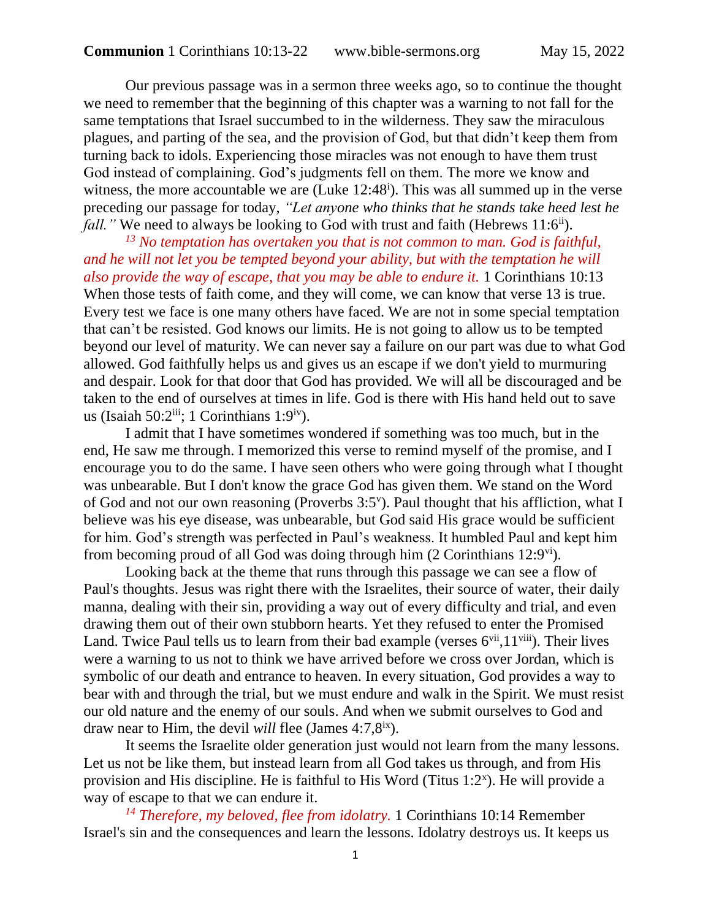Our previous passage was in a sermon three weeks ago, so to continue the thought we need to remember that the beginning of this chapter was a warning to not fall for the same temptations that Israel succumbed to in the wilderness. They saw the miraculous plagues, and parting of the sea, and the provision of God, but that didn't keep them from turning back to idols. Experiencing those miracles was not enough to have them trust God instead of complaining. God's judgments fell on them. The more we know and witness, the more accountable we are  $(Luke 12:48<sup>i</sup>)$ . This was all summed up in the verse preceding our passage for today, *"Let anyone who thinks that he stands take heed lest he fall.*" We need to always be looking to God with trust and faith (Hebrews 11:6<sup>ii</sup>).

*<sup>13</sup> No temptation has overtaken you that is not common to man. God is faithful, and he will not let you be tempted beyond your ability, but with the temptation he will also provide the way of escape, that you may be able to endure it.* 1 Corinthians 10:13 When those tests of faith come, and they will come, we can know that verse 13 is true. Every test we face is one many others have faced. We are not in some special temptation that can't be resisted. God knows our limits. He is not going to allow us to be tempted beyond our level of maturity. We can never say a failure on our part was due to what God allowed. God faithfully helps us and gives us an escape if we don't yield to murmuring and despair. Look for that door that God has provided. We will all be discouraged and be taken to the end of ourselves at times in life. God is there with His hand held out to save us (Isaiah 50:2 $\frac{\text{iii}}{\text{ii}}$ ; 1 Corinthians 1:9 $\frac{\text{iv}}{\text{ii}}$ ).

I admit that I have sometimes wondered if something was too much, but in the end, He saw me through. I memorized this verse to remind myself of the promise, and I encourage you to do the same. I have seen others who were going through what I thought was unbearable. But I don't know the grace God has given them. We stand on the Word of God and not our own reasoning (Proverbs 3:5<sup>v</sup>). Paul thought that his affliction, what I believe was his eye disease, was unbearable, but God said His grace would be sufficient for him. God's strength was perfected in Paul's weakness. It humbled Paul and kept him from becoming proud of all God was doing through him  $(2 \text{ Corinthians } 12.9)$ <sup>vi</sup>).

Looking back at the theme that runs through this passage we can see a flow of Paul's thoughts. Jesus was right there with the Israelites, their source of water, their daily manna, dealing with their sin, providing a way out of every difficulty and trial, and even drawing them out of their own stubborn hearts. Yet they refused to enter the Promised Land. Twice Paul tells us to learn from their bad example (verses  $6^{vii}$ ,  $11^{viii}$ ). Their lives were a warning to us not to think we have arrived before we cross over Jordan, which is symbolic of our death and entrance to heaven. In every situation, God provides a way to bear with and through the trial, but we must endure and walk in the Spirit. We must resist our old nature and the enemy of our souls. And when we submit ourselves to God and draw near to Him, the devil *will* flee (James 4:7,8ix).

It seems the Israelite older generation just would not learn from the many lessons. Let us not be like them, but instead learn from all God takes us through, and from His provision and His discipline. He is faithful to His Word (Titus 1:2<sup>x</sup>). He will provide a way of escape to that we can endure it.

*<sup>14</sup> Therefore, my beloved, flee from idolatry.* 1 Corinthians 10:14 Remember Israel's sin and the consequences and learn the lessons. Idolatry destroys us. It keeps us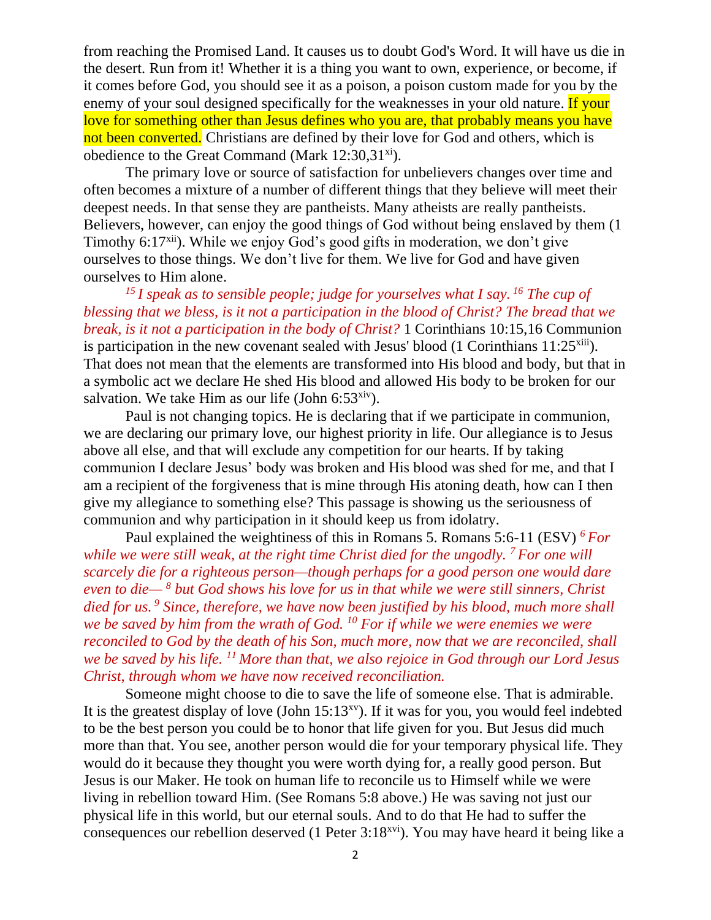from reaching the Promised Land. It causes us to doubt God's Word. It will have us die in the desert. Run from it! Whether it is a thing you want to own, experience, or become, if it comes before God, you should see it as a poison, a poison custom made for you by the enemy of your soul designed specifically for the weaknesses in your old nature. If your love for something other than Jesus defines who you are, that probably means you have not been converted. Christians are defined by their love for God and others, which is obedience to the Great Command (Mark  $12:30,31^{xi}$ ).

The primary love or source of satisfaction for unbelievers changes over time and often becomes a mixture of a number of different things that they believe will meet their deepest needs. In that sense they are pantheists. Many atheists are really pantheists. Believers, however, can enjoy the good things of God without being enslaved by them (1 Timothy 6:17<sup>xii</sup>). While we enjoy God's good gifts in moderation, we don't give ourselves to those things. We don't live for them. We live for God and have given ourselves to Him alone.

*<sup>15</sup> I speak as to sensible people; judge for yourselves what I say. <sup>16</sup> The cup of blessing that we bless, is it not a participation in the blood of Christ? The bread that we break, is it not a participation in the body of Christ?* 1 Corinthians 10:15,16 Communion is participation in the new covenant sealed with Jesus' blood  $(1$  Corinthians  $11:25^{xiii}$ . That does not mean that the elements are transformed into His blood and body, but that in a symbolic act we declare He shed His blood and allowed His body to be broken for our salvation. We take Him as our life (John  $6:53<sup>xiv</sup>$ ).

Paul is not changing topics. He is declaring that if we participate in communion, we are declaring our primary love, our highest priority in life. Our allegiance is to Jesus above all else, and that will exclude any competition for our hearts. If by taking communion I declare Jesus' body was broken and His blood was shed for me, and that I am a recipient of the forgiveness that is mine through His atoning death, how can I then give my allegiance to something else? This passage is showing us the seriousness of communion and why participation in it should keep us from idolatry.

Paul explained the weightiness of this in Romans 5. Romans 5:6-11 (ESV) *<sup>6</sup>For while we were still weak, at the right time Christ died for the ungodly.* <sup>7</sup>*For one will scarcely die for a righteous person—though perhaps for a good person one would dare even to die— <sup>8</sup> but God shows his love for us in that while we were still sinners, Christ died for us. <sup>9</sup> Since, therefore, we have now been justified by his blood, much more shall we be saved by him from the wrath of God. <sup>10</sup> For if while we were enemies we were reconciled to God by the death of his Son, much more, now that we are reconciled, shall we be saved by his life. <sup>11</sup>More than that, we also rejoice in God through our Lord Jesus Christ, through whom we have now received reconciliation.*

Someone might choose to die to save the life of someone else. That is admirable. It is the greatest display of love (John  $15:13<sup>xy</sup>$ ). If it was for you, you would feel indebted to be the best person you could be to honor that life given for you. But Jesus did much more than that. You see, another person would die for your temporary physical life. They would do it because they thought you were worth dying for, a really good person. But Jesus is our Maker. He took on human life to reconcile us to Himself while we were living in rebellion toward Him. (See Romans 5:8 above.) He was saving not just our physical life in this world, but our eternal souls. And to do that He had to suffer the consequences our rebellion deserved (1 Peter 3:18xvi). You may have heard it being like a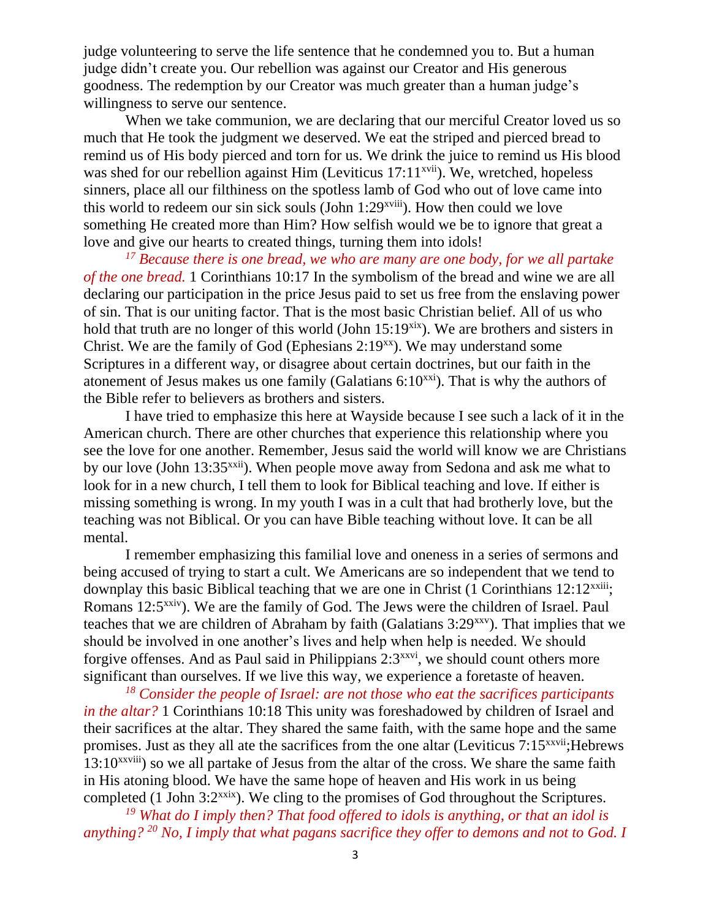judge volunteering to serve the life sentence that he condemned you to. But a human judge didn't create you. Our rebellion was against our Creator and His generous goodness. The redemption by our Creator was much greater than a human judge's willingness to serve our sentence.

When we take communion, we are declaring that our merciful Creator loved us so much that He took the judgment we deserved. We eat the striped and pierced bread to remind us of His body pierced and torn for us. We drink the juice to remind us His blood was shed for our rebellion against Him (Leviticus  $17:11^{x}$ <sup>xvii</sup>). We, wretched, hopeless sinners, place all our filthiness on the spotless lamb of God who out of love came into this world to redeem our sin sick souls (John  $1:29^{x}$ <sup>xviii</sup>). How then could we love something He created more than Him? How selfish would we be to ignore that great a love and give our hearts to created things, turning them into idols!

*<sup>17</sup> Because there is one bread, we who are many are one body, for we all partake of the one bread.* 1 Corinthians 10:17 In the symbolism of the bread and wine we are all declaring our participation in the price Jesus paid to set us free from the enslaving power of sin. That is our uniting factor. That is the most basic Christian belief. All of us who hold that truth are no longer of this world (John  $15:19<sup>six</sup>$ ). We are brothers and sisters in Christ. We are the family of God (Ephesians  $2:19^{xx}$ ). We may understand some Scriptures in a different way, or disagree about certain doctrines, but our faith in the atonement of Jesus makes us one family (Galatians  $6:10^{x}$ ). That is why the authors of the Bible refer to believers as brothers and sisters.

I have tried to emphasize this here at Wayside because I see such a lack of it in the American church. There are other churches that experience this relationship where you see the love for one another. Remember, Jesus said the world will know we are Christians by our love (John 13:35xxii). When people move away from Sedona and ask me what to look for in a new church, I tell them to look for Biblical teaching and love. If either is missing something is wrong. In my youth I was in a cult that had brotherly love, but the teaching was not Biblical. Or you can have Bible teaching without love. It can be all mental.

I remember emphasizing this familial love and oneness in a series of sermons and being accused of trying to start a cult. We Americans are so independent that we tend to downplay this basic Biblical teaching that we are one in Christ  $(1 \text{ Corinthians } 12:12^{xxiii})$ ; Romans 12:5<sup>xxiv</sup>). We are the family of God. The Jews were the children of Israel. Paul teaches that we are children of Abraham by faith (Galatians  $3:29^{x}$ ). That implies that we should be involved in one another's lives and help when help is needed. We should forgive offenses. And as Paul said in Philippians  $2:3^{xxvi}$ , we should count others more significant than ourselves. If we live this way, we experience a foretaste of heaven.

*<sup>18</sup> Consider the people of Israel: are not those who eat the sacrifices participants in the altar?* 1 Corinthians 10:18 This unity was foreshadowed by children of Israel and their sacrifices at the altar. They shared the same faith, with the same hope and the same promises. Just as they all ate the sacrifices from the one altar (Leviticus 7:15<sup>xxvii</sup>; Hebrews  $13:10^{xxviii}$  so we all partake of Jesus from the altar of the cross. We share the same faith in His atoning blood. We have the same hope of heaven and His work in us being completed (1 John 3:2<sup>xxix</sup>). We cling to the promises of God throughout the Scriptures.

*<sup>19</sup> What do I imply then? That food offered to idols is anything, or that an idol is anything? <sup>20</sup> No, I imply that what pagans sacrifice they offer to demons and not to God. I*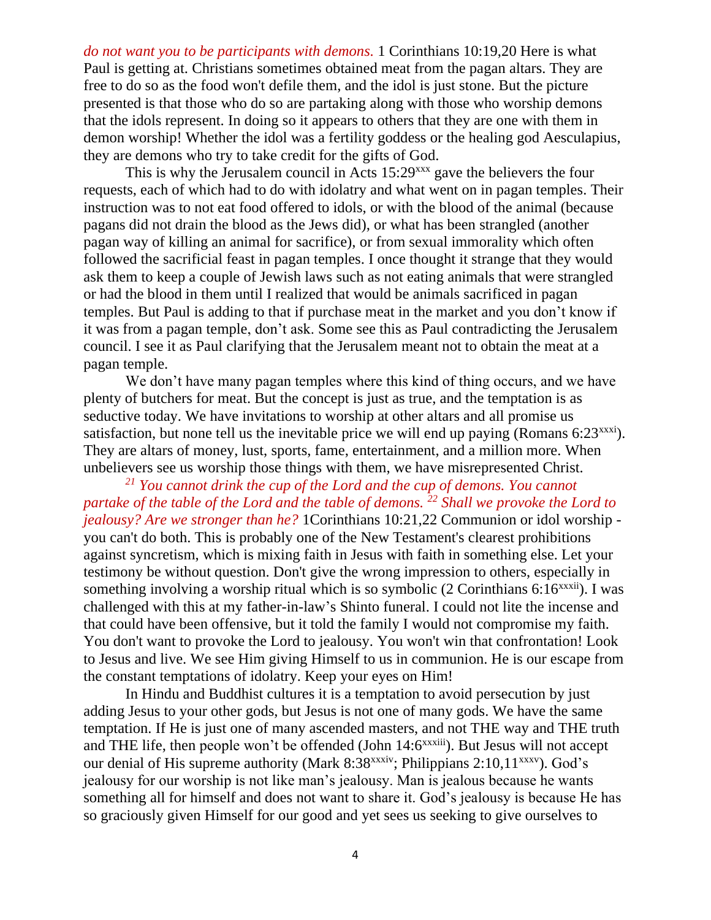*do not want you to be participants with demons.* 1 Corinthians 10:19,20 Here is what Paul is getting at. Christians sometimes obtained meat from the pagan altars. They are free to do so as the food won't defile them, and the idol is just stone. But the picture presented is that those who do so are partaking along with those who worship demons that the idols represent. In doing so it appears to others that they are one with them in demon worship! Whether the idol was a fertility goddess or the healing god Aesculapius, they are demons who try to take credit for the gifts of God.

This is why the Jerusalem council in Acts 15:29<sup>xxx</sup> gave the believers the four requests, each of which had to do with idolatry and what went on in pagan temples. Their instruction was to not eat food offered to idols, or with the blood of the animal (because pagans did not drain the blood as the Jews did), or what has been strangled (another pagan way of killing an animal for sacrifice), or from sexual immorality which often followed the sacrificial feast in pagan temples. I once thought it strange that they would ask them to keep a couple of Jewish laws such as not eating animals that were strangled or had the blood in them until I realized that would be animals sacrificed in pagan temples. But Paul is adding to that if purchase meat in the market and you don't know if it was from a pagan temple, don't ask. Some see this as Paul contradicting the Jerusalem council. I see it as Paul clarifying that the Jerusalem meant not to obtain the meat at a pagan temple.

We don't have many pagan temples where this kind of thing occurs, and we have plenty of butchers for meat. But the concept is just as true, and the temptation is as seductive today. We have invitations to worship at other altars and all promise us satisfaction, but none tell us the inevitable price we will end up paying (Romans  $6:23^{xxxxi}$ ). They are altars of money, lust, sports, fame, entertainment, and a million more. When unbelievers see us worship those things with them, we have misrepresented Christ.

*<sup>21</sup> You cannot drink the cup of the Lord and the cup of demons. You cannot partake of the table of the Lord and the table of demons. <sup>22</sup> Shall we provoke the Lord to jealousy? Are we stronger than he?* 1Corinthians 10:21,22 Communion or idol worship you can't do both. This is probably one of the New Testament's clearest prohibitions against syncretism, which is mixing faith in Jesus with faith in something else. Let your testimony be without question. Don't give the wrong impression to others, especially in something involving a worship ritual which is so symbolic  $(2 \text{ Corinthians } 6:16^{xxxii})$ . I was challenged with this at my father-in-law's Shinto funeral. I could not lite the incense and that could have been offensive, but it told the family I would not compromise my faith. You don't want to provoke the Lord to jealousy. You won't win that confrontation! Look to Jesus and live. We see Him giving Himself to us in communion. He is our escape from the constant temptations of idolatry. Keep your eyes on Him!

In Hindu and Buddhist cultures it is a temptation to avoid persecution by just adding Jesus to your other gods, but Jesus is not one of many gods. We have the same temptation. If He is just one of many ascended masters, and not THE way and THE truth and THE life, then people won't be offended (John 14:6<sup>xxxiii</sup>). But Jesus will not accept our denial of His supreme authority (Mark 8:38<sup>xxxiv</sup>; Philippians 2:10,11<sup>xxxv</sup>). God's jealousy for our worship is not like man's jealousy. Man is jealous because he wants something all for himself and does not want to share it. God's jealousy is because He has so graciously given Himself for our good and yet sees us seeking to give ourselves to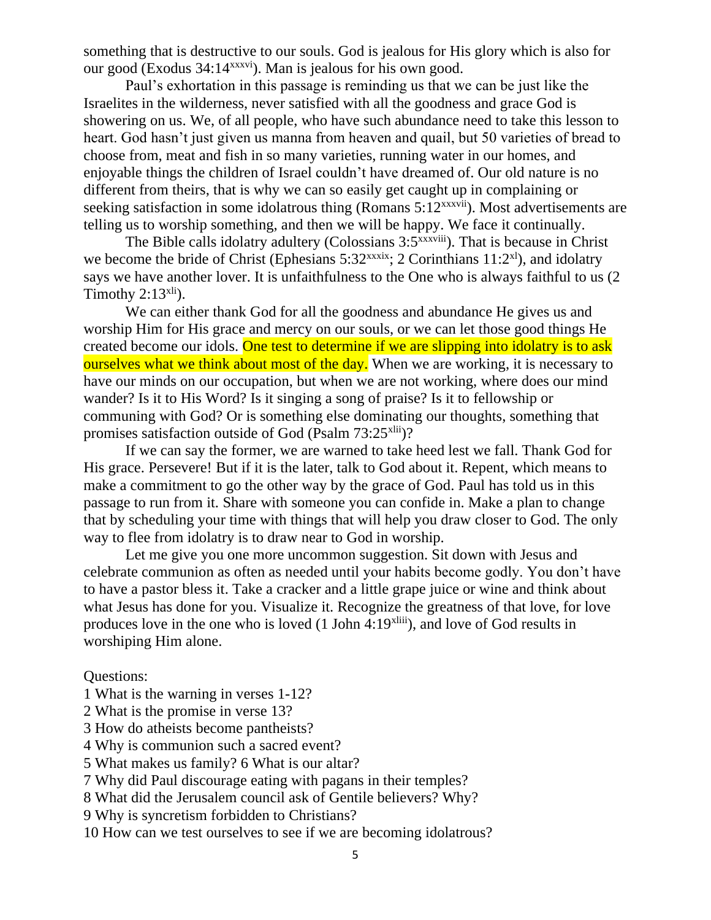something that is destructive to our souls. God is jealous for His glory which is also for our good (Exodus 34:14xxxvi). Man is jealous for his own good.

Paul's exhortation in this passage is reminding us that we can be just like the Israelites in the wilderness, never satisfied with all the goodness and grace God is showering on us. We, of all people, who have such abundance need to take this lesson to heart. God hasn't just given us manna from heaven and quail, but 50 varieties of bread to choose from, meat and fish in so many varieties, running water in our homes, and enjoyable things the children of Israel couldn't have dreamed of. Our old nature is no different from theirs, that is why we can so easily get caught up in complaining or seeking satisfaction in some idolatrous thing (Romans 5:12<sup>xxxvii</sup>). Most advertisements are telling us to worship something, and then we will be happy. We face it continually.

The Bible calls idolatry adultery (Colossians 3:5<sup>xxxviii</sup>). That is because in Christ we become the bride of Christ (Ephesians  $5:32^{xxxxix}$ ; 2 Corinthians  $11:2^{x1}$ ), and idolatry says we have another lover. It is unfaithfulness to the One who is always faithful to us (2 Timothy  $2:13^{x}$ .

We can either thank God for all the goodness and abundance He gives us and worship Him for His grace and mercy on our souls, or we can let those good things He created become our idols. One test to determine if we are slipping into idolatry is to ask ourselves what we think about most of the day. When we are working, it is necessary to have our minds on our occupation, but when we are not working, where does our mind wander? Is it to His Word? Is it singing a song of praise? Is it to fellowship or communing with God? Or is something else dominating our thoughts, something that promises satisfaction outside of God (Psalm  $73:25$ <sup>xlii</sup>)?

If we can say the former, we are warned to take heed lest we fall. Thank God for His grace. Persevere! But if it is the later, talk to God about it. Repent, which means to make a commitment to go the other way by the grace of God. Paul has told us in this passage to run from it. Share with someone you can confide in. Make a plan to change that by scheduling your time with things that will help you draw closer to God. The only way to flee from idolatry is to draw near to God in worship.

Let me give you one more uncommon suggestion. Sit down with Jesus and celebrate communion as often as needed until your habits become godly. You don't have to have a pastor bless it. Take a cracker and a little grape juice or wine and think about what Jesus has done for you. Visualize it. Recognize the greatness of that love, for love produces love in the one who is loved (1 John 4:19xliii), and love of God results in worshiping Him alone.

Questions:

- 1 What is the warning in verses 1-12?
- 2 What is the promise in verse 13?
- 3 How do atheists become pantheists?
- 4 Why is communion such a sacred event?
- 5 What makes us family? 6 What is our altar?
- 7 Why did Paul discourage eating with pagans in their temples?
- 8 What did the Jerusalem council ask of Gentile believers? Why?
- 9 Why is syncretism forbidden to Christians?
- 10 How can we test ourselves to see if we are becoming idolatrous?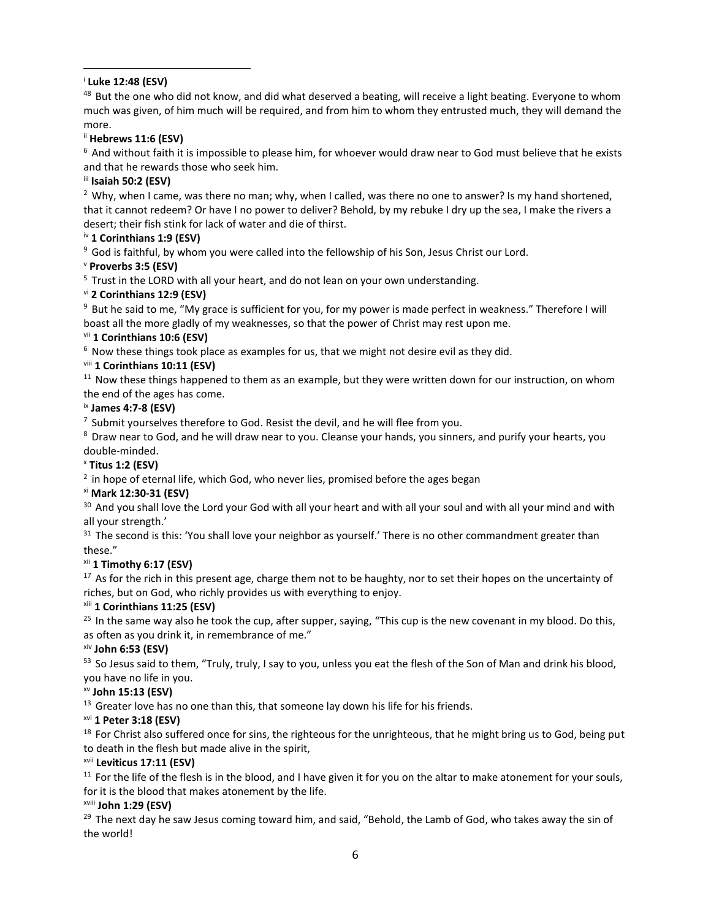# i **Luke 12:48 (ESV)**

<sup>48</sup> But the one who did not know, and did what deserved a beating, will receive a light beating. Everyone to whom much was given, of him much will be required, and from him to whom they entrusted much, they will demand the more.

# ii **Hebrews 11:6 (ESV)**

<sup>6</sup> And without faith it is impossible to please him, for whoever would draw near to God must believe that he exists and that he rewards those who seek him.

## iii **Isaiah 50:2 (ESV)**

<sup>2</sup> Why, when I came, was there no man; why, when I called, was there no one to answer? Is my hand shortened, that it cannot redeem? Or have I no power to deliver? Behold, by my rebuke I dry up the sea, I make the rivers a desert; their fish stink for lack of water and die of thirst.

# iv **1 Corinthians 1:9 (ESV)**

<sup>9</sup> God is faithful, by whom you were called into the fellowship of his Son, Jesus Christ our Lord.

## <sup>v</sup> **Proverbs 3:5 (ESV)**

 $5$  Trust in the LORD with all your heart, and do not lean on your own understanding.

## vi **2 Corinthians 12:9 (ESV)**

<sup>9</sup> But he said to me, "My grace is sufficient for you, for my power is made perfect in weakness." Therefore I will boast all the more gladly of my weaknesses, so that the power of Christ may rest upon me.

## vii **1 Corinthians 10:6 (ESV)**

 $6$  Now these things took place as examples for us, that we might not desire evil as they did.

## viii **1 Corinthians 10:11 (ESV)**

 $11$  Now these things happened to them as an example, but they were written down for our instruction, on whom the end of the ages has come.

## ix **James 4:7-8 (ESV)**

 $<sup>7</sup>$  Submit yourselves therefore to God. Resist the devil, and he will flee from you.</sup>

<sup>8</sup> Draw near to God, and he will draw near to you. Cleanse your hands, you sinners, and purify your hearts, you double-minded.

# <sup>x</sup> **Titus 1:2 (ESV)**

 $2$  in hope of eternal life, which God, who never lies, promised before the ages began

## xi **Mark 12:30-31 (ESV)**

<sup>30</sup> And you shall love the Lord your God with all your heart and with all your soul and with all your mind and with all your strength.'

<sup>31</sup> The second is this: 'You shall love your neighbor as yourself.' There is no other commandment greater than these."

# xii **1 Timothy 6:17 (ESV)**

 $17$  As for the rich in this present age, charge them not to be haughty, nor to set their hopes on the uncertainty of riches, but on God, who richly provides us with everything to enjoy.

## xiii **1 Corinthians 11:25 (ESV)**

 $25$  In the same way also he took the cup, after supper, saying, "This cup is the new covenant in my blood. Do this, as often as you drink it, in remembrance of me."

## xiv **John 6:53 (ESV)**

53 So Jesus said to them, "Truly, truly, I say to you, unless you eat the flesh of the Son of Man and drink his blood, you have no life in you.

## xv **John 15:13 (ESV)**

 $13$  Greater love has no one than this, that someone lay down his life for his friends.

# xvi **1 Peter 3:18 (ESV)**

 $18$  For Christ also suffered once for sins, the righteous for the unrighteous, that he might bring us to God, being put to death in the flesh but made alive in the spirit,

## xvii **Leviticus 17:11 (ESV)**

 $11$  For the life of the flesh is in the blood, and I have given it for you on the altar to make atonement for your souls, for it is the blood that makes atonement by the life.

## xviii **John 1:29 (ESV)**

<sup>29</sup> The next day he saw Jesus coming toward him, and said, "Behold, the Lamb of God, who takes away the sin of the world!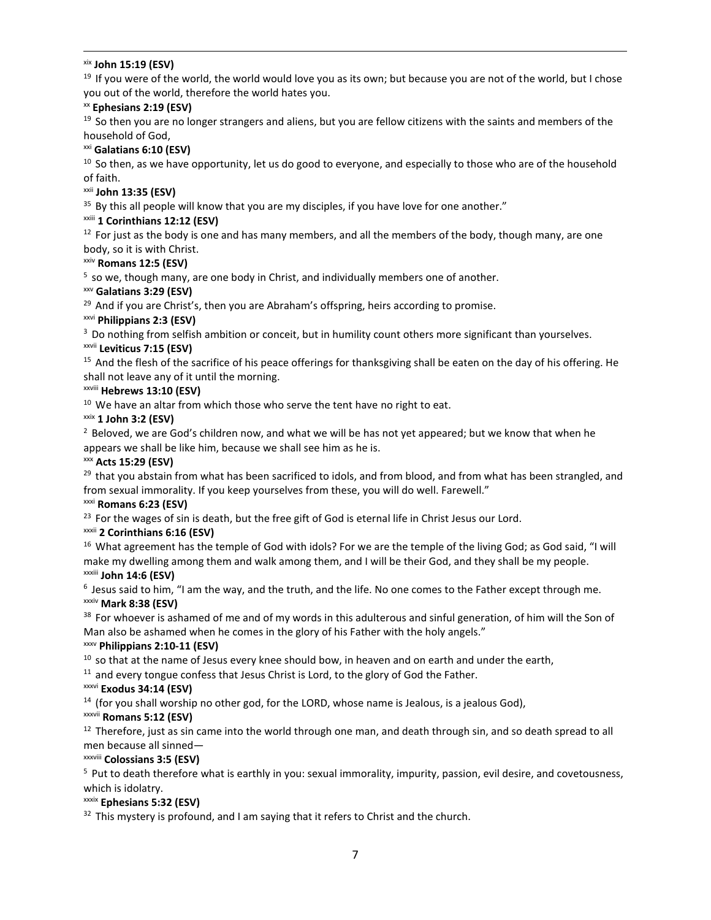#### xix **John 15:19 (ESV)**

<sup>19</sup> If you were of the world, the world would love you as its own; but because you are not of the world, but I chose you out of the world, therefore the world hates you.

#### xx **Ephesians 2:19 (ESV)**

<sup>19</sup> So then you are no longer strangers and aliens, but you are fellow citizens with the saints and members of the household of God,

#### xxi **Galatians 6:10 (ESV)**

<sup>10</sup> So then, as we have opportunity, let us do good to everyone, and especially to those who are of the household of faith.

#### xxii **John 13:35 (ESV)**

 $35$  By this all people will know that you are my disciples, if you have love for one another."

#### xxiii **1 Corinthians 12:12 (ESV)**

 $12$  For just as the body is one and has many members, and all the members of the body, though many, are one body, so it is with Christ.

#### xxiv **Romans 12:5 (ESV)**

 $5$  so we, though many, are one body in Christ, and individually members one of another.

#### xxv **Galatians 3:29 (ESV)**

<sup>29</sup> And if you are Christ's, then you are Abraham's offspring, heirs according to promise.

#### xxvi **Philippians 2:3 (ESV)**

<sup>3</sup> Do nothing from selfish ambition or conceit, but in humility count others more significant than yourselves.

#### xxvii **Leviticus 7:15 (ESV)**

<sup>15</sup> And the flesh of the sacrifice of his peace offerings for thanksgiving shall be eaten on the day of his offering. He shall not leave any of it until the morning.

#### xxviii **Hebrews 13:10 (ESV)**

 $10$  We have an altar from which those who serve the tent have no right to eat.

#### xxix **1 John 3:2 (ESV)**

 $<sup>2</sup>$  Beloved, we are God's children now, and what we will be has not yet appeared; but we know that when he</sup> appears we shall be like him, because we shall see him as he is.

#### xxx **Acts 15:29 (ESV)**

 $29$  that you abstain from what has been sacrificed to idols, and from blood, and from what has been strangled, and from sexual immorality. If you keep yourselves from these, you will do well. Farewell."

#### xxxi **Romans 6:23 (ESV)**

 $23$  For the wages of sin is death, but the free gift of God is eternal life in Christ Jesus our Lord.

## xxxii **2 Corinthians 6:16 (ESV)**

<sup>16</sup> What agreement has the temple of God with idols? For we are the temple of the living God; as God said, "I will make my dwelling among them and walk among them, and I will be their God, and they shall be my people.

# xxxiii **John 14:6 (ESV)**

 $6$  Jesus said to him, "I am the way, and the truth, and the life. No one comes to the Father except through me. xxxiv **Mark 8:38 (ESV)** 

38 For whoever is ashamed of me and of my words in this adulterous and sinful generation, of him will the Son of Man also be ashamed when he comes in the glory of his Father with the holy angels."

#### xxxv **Philippians 2:10-11 (ESV)**

 $10$  so that at the name of Jesus every knee should bow, in heaven and on earth and under the earth,

 $11$  and every tongue confess that Jesus Christ is Lord, to the glory of God the Father.

#### xxxvi **Exodus 34:14 (ESV)**

 $14$  (for you shall worship no other god, for the LORD, whose name is Jealous, is a jealous God),

## xxxvii **Romans 5:12 (ESV)**

 $12$  Therefore, just as sin came into the world through one man, and death through sin, and so death spread to all men because all sinned—

#### xxxviii **Colossians 3:5 (ESV)**

<sup>5</sup> Put to death therefore what is earthly in you: sexual immorality, impurity, passion, evil desire, and covetousness, which is idolatry.

#### xxxix **Ephesians 5:32 (ESV)**

 $32$  This mystery is profound, and I am saying that it refers to Christ and the church.